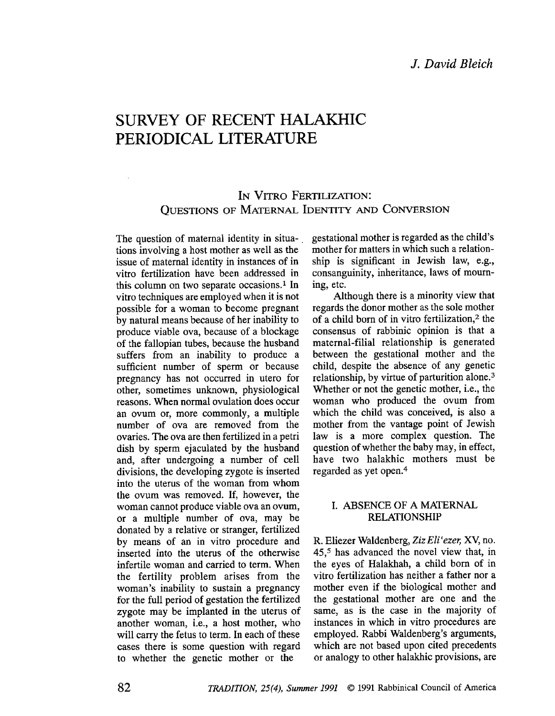# SURVEY OF RECENT HALAKHIC PERIODICAL LITERATURE

## IN VITRO FERTILIZATION: QUESTIONS OF MATERNAL IDENTITY AND CONVERSION

The question of maternal identity in situations involving a host mother as well as the issue of maternal identity in instances of in vitro fertilzation have been addressed in this column on two separate occasions.<sup>1</sup> In vitro techniques are employed when it is not possible for a woman to become pregnant by natural means because of her inabilty to produce viable ova, because of a blockage of the fallopian tubes, because the husband suffers from an inability to produce a sufficient number of sperm or because pregnancy has not occurred in utero for other, sometimes unknown, physiological reasons. When normal ovulation does occur an ovum or, more commonly, a multiple number of ova are removed from the ovaries. The ova are then fertilzed in a petri dish by sperm ejaculated by the husband and, after undergoing a number of cell divisions, the developing zygote is inserted into the uterus of the woman from whom the ovum was removed. If, however, the woman cannot produce viable ova an ovum, or a multiple number of ova, may be donated by a relative or stranger, fertilized by means of an in vitro procedure and inserted into the uterus of the otherwise infertile woman and carried to term. When the fertilty problem arises from the woman's inability to sustain a pregnancy for the full period of gestation the fertilized zygote may be implanted in the uterus of another woman, i.e., a host mother, who will carry the fetus to term. In each of these cases there is some question with regard to whether the genetic mother or the

gestational mother is regarded as the child's mother for matters in which such a relationship is significant in Jewish law, e.g., consanguinity, inheritance, laws of mourning, etc.

Although there is a minority view that regards the donor mother as the sale mother of a child born of in vitro fertilization,2 the consensus of rabbinic opinion is that a maternal-fiial relationship is generated between the gestational mother and the child, despite the absence of any genetic relationship, by virtue of parturition alone.3 Whether or not the genetic mother, i.e., the woman who produced the ovum from which the child was conceived, is also a mother from the vantage point of Jewish law is a more complex question. The question of whether the baby may, in effect, have two halakhic mothers must be regarded as yet open.4

#### 1. ABSENCE OF A MATERNAL RELATIONSHIP

R. Eliezer Waldenberg, Ziz Eli'ezer, XV, no. 45,5 has advanced the novel view that, in the eyes of Halakhah, a child born of in vitro fertilization has neither a father nor a mother even if the biological mother and the gestational mother are one and the. same, as is the case in the majority of instances in which in vitro procedures are employed. Rabbi Waldenberg's arguments, which are not based upon cited precedents or analogy to other halakhic provisions, are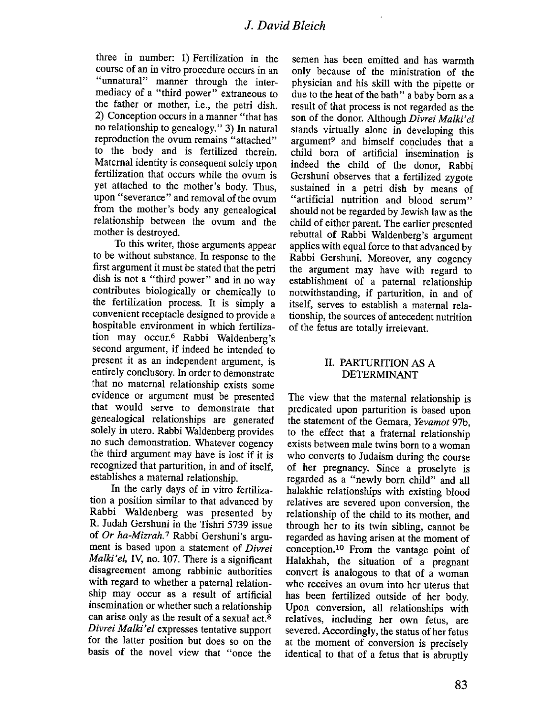three in number: 1) Fertilzation in the course of an in vitro procedure occurs in an "unnatural" manner through the intermediacy of a "third power" extraneous to the father or mother, i.e., the petri dish. 2) Conception occurs in a manner "that has no relationship to genealogy." 3) In natural reproduction the ovum remains "attached" to the body and is fertilzed therein. Maternal identity is consequent solely upon fertilization that occurs while the ovum is yet attached to the mother's body. Thus, upon "severance" and removal of the ovum from the mother's body any genealogical relationship between the ovum and the mother is destroyed.

To this writer, those arguments appear to be without substance. In response to the first argument it must be stated that the petri dish is not a "third power" and in no way contributes biologically or chemically to the fertilzation process. It is simply a convenient receptacle designed to provide a hospitable environment in which fertilzation may occur.<sup>6</sup> Rabbi Waldenberg's second argument, if indeed he intended to present it as an independent argument, is entirely conclusory. In order to demonstrate that no maternal relationship exists some evidence or argument must be presented that would serve to demonstrate that genealogical relationships are generated solely in utero. Rabbi Waldenberg provides no such demonstration. Whatever cogency the third argument may have is lost if it is recognized that parturition, in and of itself, establishes a maternal relationship.

In the early days of in vitro fertilization a position similar to that advanced by Rabbi Waldenberg was presented by R. Judah Gershuni in the Tishri 5739 issue of Or ha-Mizrah.<sup>7</sup> Rabbi Gershuni's argument is based upon a statement of Divrei Malki'el, IV, no. 107. There is a significant disagreement among rabbinic authorities with regard to whether a paternal relationship may occur as a result of artificial insemination or whether such a relationship can arise only as the result of a sexual act.8 Divrei Malki'el expresses tentative support for the latter position but does so on the basis of the novel view that "once the

semen has been emitted and has warmth only because of the ministration of the physician and his skil with the pipette or due to the heat of the bath" a baby born as a result of that process is not regarded as the son of the donor. Although Divrei Malki'el stands virtually alone in developing this argument9 and himself concludes that a child born of artificial insemination is indeed the child of the donor, Rabbi Gershuni observes that a fertiized zygote sustained in a petri dish by means of "artificial nutrition and blood serum" should not be regarded by Jewish law as the child of either parent. The earlier presented rebuttal of Rabbi Waldenberg's argument applies with equal force to that advanced by Rabbi Gershuni. Moreover, any cogency the argument may have with regard to establishment of a paternal relationship notwithstanding, if parturition, in and of itself, serves to establish a maternal relationship, the sources of antecedent nutrition of the fetus are totally irrelevant.

### II. PARTURITION AS A DETERMINANT

The view that the maternal relationship is predicated upon parturition is based upon the statement of the Gemara, Yevamot 9Th, to the effect that a fraternal relationship exists between male twins born to a woman who converts to Judaism during the course of her pregnancy. Since a proselyte is regarded as a "newly born child" and all halakhic relationships with existing blood relatives are severed upon conversion, the relationship of the child to its mother, and through her to its twin sibling, cannot be regarded as having arisen at the moment of conception.1O From the vantage point of Halakhah, the situation of a pregnant convert is analogous to that of a woman who receives an ovum into her uterus that has been fertilized outside of her body. Upon conversion, all relationships with relatives, including her own fetus, are severed. Accordingly, the status of her fetus at the moment of conversion is precisely identical to that of a fetus that is abruptly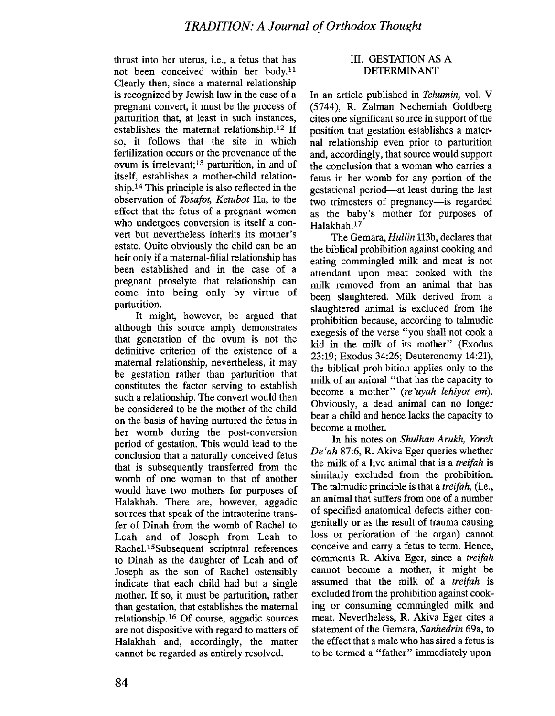thrust into her uterus, i.e., a fetus that has not been conceived within her body.<sup>11</sup> Clearly then, since a maternal relationship is recognized by Jewish law in the case of a pregnant convert, it must be the process of parturition that, at least in such instances, establishes the maternal relationship.<sup>12</sup> If so, it follows that the site in which fertilization occurs or the provenance of the ovum is irrelevant;<sup>13</sup> parturition, in and of itself, establishes a mother-child relationship.<sup>14</sup> This principle is also reflected in the observation of Tosafot, Ketubot lla, to the effect that the fetus of a pregnant women who undergoes conversion is itself a convert but nevertheless inherits its mother's estate. Quite obviously the child can be an heir only if a maternal-filial relationship has been established and in the case of a pregnant proselyte that relationship can come into being only by virtue of parturition.

It might, however, be argued that although this source amply demonstrates that generation of the ovum is not the definitive criterion of the existence of a maternal relationship, nevertheless, it may be gestation rather than parturition that constitutes the factor serving to establish such a relationship. The convert would then be considered to be the mother of the child on the basis of having nurtured the fetus in her womb during the post-conversion period of gestation. This would lead to the conclusion that a naturally conceived fetus that is subsequently transferred from the womb of one woman to that of another would have two mothers for purposes of Halakhah. There are, however, aggadic sources that speak of the intrauterine transfer of Dinah from the womb of Rachel to Leah and of Joseph from Leah to Rachel.<sup>15</sup>Subsequent scriptural references to Dinah as the daughter of Leah and of Joseph as the son of Rachel ostensibly indicate that each child had but a single mother. If so, it must be parturition, rather than gestation, that establishes the maternal relationship.l6 Of course, aggadic sources are not dispositive with regard to matters of Halakhah and, accordingly, the matter cannot be regarded as entirely resolved.

#### II. GESTATION AS A DETERMINANT

In an article published in Tehumin, voL. V (5744), R. Zalman Nechemiah Goldberg cites one significant source in support of the position that gestation establishes a maternal relationship even prior to parturition and, accordingly, that source would support the conclusion that a woman who carries a fetus in her womb for any portion of the gestational period-at least during the last two trimesters of pregnancy-is regarded as the baby's mother for purposes of Halakhah.<sup>17</sup>

The Gemara, Hullin 113b, declares that the biblical prohibition against cooking and eating commingled milk and meat is not attendant upon meat cooked with the milk removed from an animal that has been slaughtered. Milk derived from a slaughtered animal is excluded from the prohibition because, according to talmudic exegesis of the verse "you shall not cook a kid in the milk of its mother" (Exodus 23:19; Exodus 34:26; Deuteronomy 14:21), the biblical prohibition applies only to the milk of an animal "that has the capacity to become a mother" (re'uyah lehiyot em). Obviously, a dead animal can no longer bear a child and hence lacks the capacity to become a mother.

In his notes on Shulhan Arukh, Yoreh De'ah 87:6, R. Akiva Eger queries whether the milk of a live animal that is a treifah is similarly excluded from the prohibition. The talmudic principle is that a *treifah*, (i.e., an animal that suffers from one of a number of specified anatomical defects either congenitally or as the result of trauma causing loss or perforation of the organ) cannot conceive and carry a fetus to term. Hence, comments R. Akiva Eger, since a treifah cannot become a mother, it might be assumed that the milk of a treifah is excluded from the prohibition against cooking or consuming commingled milk and meat. Nevertheless, R. Akva Eger cites a statement of the Gemara, Sanhedrin 69a, to the effect that a male who has sired a fetus is to be termed a "father" immediately upon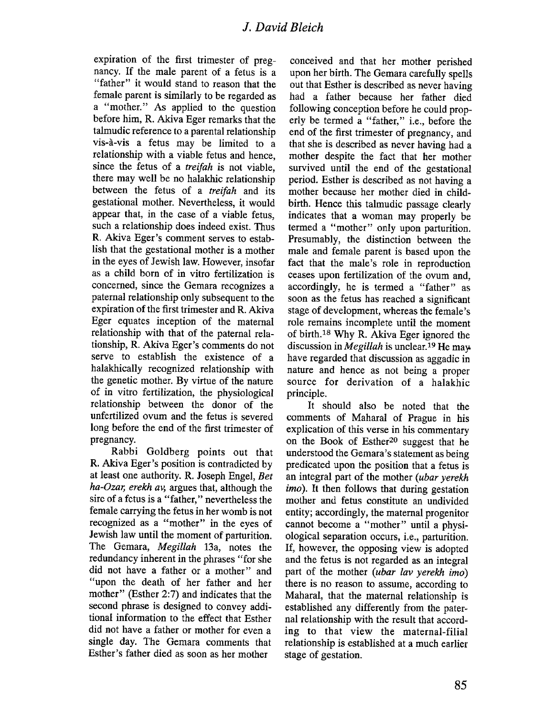## J. David Bleich

expiration of the first trimester of pregnancy. If the male parent of a fetus is a "father" it would stand to reason that the female parent is similarly to be regarded as a "mother." As applied to the question before him, R. Akva Eger remarks that the talmudic reference to a parental relationship vis-à-vis a fetus may be limited to a relationship with a viable fetus and hence, since the fetus of a treifah is not viable, there may well be no halakhic relationship between the fetus of a *treifah* and its gestational mother. Nevertheless, it would appear that, in the case of a viable fetus, such a relationship does indeed exist. Thus R. Akva Eger's comment serves to establish that the gestational mother is a mother in the eyes of Jewish law. However, insofar as a child born of in vitro fertilzation is concerned, since the Gemara recognizes a paternal relationship only subsequent to the expiration of the first trimester and R. Akiva Eger equates inception of the maternal relationship with that of the paternal relationship, R. Akiva Eger's comments do not serve to establish the existence of a halakhically recognized relationship with the genetic mother. By virtue of the nature of in vitro fertilzation, the physiological relationship between the donor of the unfertilized ovum and the fetus is severed long before the end of the first trimester of pregnancy.

Rabbi Goldberg points out that R. Akiva Eger's position is contradicted by at least one authority. R. Joseph Engel, Bet ha-Ozar, erekh av, argues that, although the sirc of a fctus is a "father," nevertheless the female carrying the fetus in her womb is not recognized as a "mother" in the eyes of Jewish law until the moment of parturition. The Gemara, Megillah 13a, notes the redundancy inherent in the phrases "for she did not have a father or a mother" and "upon the death of her father and her mother" (Esther 2:7) and indicates that the second phrase is designed to convey additional information to the effect that Esther did not have a father or mother for even a single day. The Gemara comments that Esther's father died as soon as her mother

conceived and that her mother perished upon her birth. The Gemara carefully spells out that Esther is described as never having had a father because her father died following conception before he could properly be termed a "father," i.e., before the end of the first trimester of pregnancy, and that she is described as never having had a mother despite the fact that her mother survived until the end of the gestational period. Esther is described as not having a mother because her mother died in childbirth. Hence this talmudic passage clearly indicates that a woman may properly be termed a "mother" only upon parturition. Presumably, the distinction between the male and female parent is based upon the fact that the male's role in reproduction ceases upon fertilization of the ovum and, accordingly, he is termed a "father" as soon as the fetus has reached a significant stage of development, whereas the female's role remains incomplete until the moment of birth.18 Why R. Akva Eger ignored the discussion in *Megillah* is unclear.<sup>19</sup> He may have regarded that discussion as aggadic in nature and hence as not being a proper source for derivation of a halakhic principle.

It should also be noted that the comments of Maharal of Prague in his explication of this verse in his commentary on the Book of Esther20 suggest that he understood the Gemara's statement as being predicated upon the position that a fetus is an integral part of the mother (ubar yerekh imo). It then follows that during gestation mother and fetus constitute an undivided entity; accordingly, the maternal progenitor cannot become a "mother" until a physiological separation occurs, i.e., parturition. If, however, the opposing view is adopted and the fetus is not regarded as an integral part of the mother (ubar lav yerekh imo) there is no reason to assume, according to Maharal, that the maternal relationship is established any differently from the paternal relationship with the result that according to that view the maternal-filal relationship is established at a much earlier stage of gestation.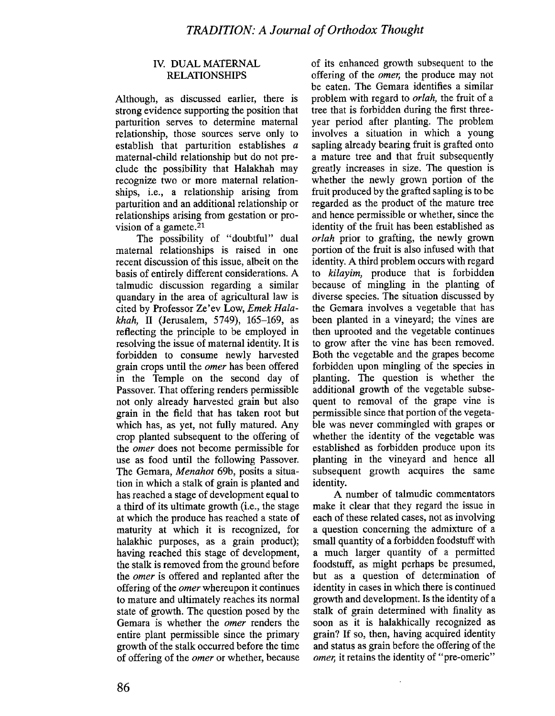### iv. DUAL MATERNAL RELATIONSHIPS

Although, as discussed earlier, there is strong evidence supporting the position that parturition serves to determine maternal relationship, those sources serve only to establish that parturition establishes  $a$ maternal-child relationship but do not preclude the possibilty that Halakhah may recognize two or more maternal relationships, i.e., a relationship arising from parturition and an additional relationship or relationships arising from gestation or provision of a gamete.21

The possibilty of "doubtful" dual maternal relationships is raised in one recent discussion of this issue, albeit on the basis of entirely different considerations. A talmudic discussion regarding a similar quandary in the area of agricultural law is cited by Professor Ze'ev Low, Emek Halakhah, II (Jerusalem, 5749), 165-169, as reflecting the principle to be employed in resolving the issue of maternal identity. It is forbidden to consume newly harvested grain crops until the *omer* has been offered in the Temple on the second day of Passover. That offering renders permissible not only already harvested grain but also grain in the field that has taken root but which has, as yet, not fully matured. Any crop planted subsequent to the offering of the *omer* does not become permissible for use as food until the following Passover. The Gemara, Menahot 69b, posits a situation in which a stalk of grain is planted and has reached a stage of development equal to a third of its ultimate growth (i.e., the stage at which the produce has reached a state of maturity at which it is recognized, for halakhic purposes, as a grain product); having reached this stage of development, the stalk is removed from the ground before the omer is offered and replanted after the offering of the *omer* whereupon it continues to mature and ultimately reaches its normal state of growth. The question posed by the Gemara is whether the omer renders the entire plant permissible since the primary growth of the stalk occurred before the time of offering of the *omer* or whether, because

of its enhanced growth subsequent to the offering of the omer, the produce may not be eaten. The Gemara identifies a similar problem with regard to orlah, the fruit of a tree that is forbidden during the first threeyear period after planting. The problem involves a situation in which a young sapling already bearing fruit is grafted onto a mature tree and that fruit subsequently greatly increases in size. The question is whether the newly grown portion of the fruit produced by the grafted sapling is to be regarded as the product of the mature tree and hence permissible or whether, since the identity of the fruit has been established as orlah prior to grafting, the newly grown portion of the fruit is also infused with that identity. A third problem occurs with regard to kilayim, produce that is forbidden because of mingling in the planting of diverse species. The situation discussed by the Gemara involves a vegetable that has been planted in a vineyard; the vines are then uprooted and the vegetable continues to grow after the vine has been removed. Both the vegetable and the grapes become forbidden upon mingling of the species in planting. The question is whether the additional growth of the vegetable subsequent to removal of the grape vine is permissible since that portion of the vegetable was never commingled with grapes or whether the identity of the vegetable was established as forbidden produce upon its planting in the vineyard and hence all subsequent growth acquires the same identity.

A number of talmudic commentators make it clear that they regard the issue in each of these related cases, not as involving a question concerning the admixture of a small quantity of a forbidden foodstuff with a much larger quantity of a permitted foodstuff, as might perhaps be presumed, but as a question of determination of identity in cases in which there is continued growth and development. Is the identity of a stalk of grain determined with finality as soon as it is halakhically recognized as grain? If so, then, having acquired identity and status as grain before the offering of the omer, it retains the identity of "pre-omeric"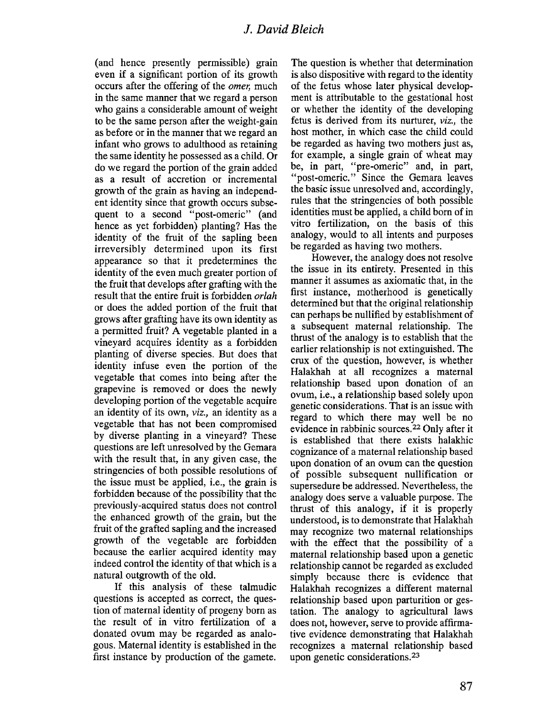(and hence presently permissible) grain even if a significant portion of its growth occurs after the offering of the omer, much in the same manner that we regard a person who gains a considerable amount of weight to be the same person after the weight-gain as before or in the manner that we regard an infant who grows to adulthood as retaining the same identity he possessed as a child. Or do we regard the portion of the grain added as a result of accretion or incremental growth of the grain as having an independent identity since that growth occurs subsequent to a second "post-omeric" (and hence as yet forbidden) planting? Has the identity of the fruit of the sapling been irreversibly determined upon its first appearance so that it predetermines the identity of the even much greater portion of the fruit that develops after grafting with the result that the entire fruit is forbidden orlah or does the added portion of the fruit that grows after grafting have its own identity as a permitted fruit? A vegetable planted in a vineyard acquires identity as a forbidden planting of diverse species. But does that identity infuse even the portion of the vegetable that comes into being after the grapevine is removed or does the newly developing portion of the vegetable acquire an identity of its own, viz., an identity as a vegetable that has not been compromised by diverse planting in a vineyard? These questions are left unresolved by the Gemara with the result that, in any given case, the stringencies of both possible resolutions of the issue must be applied, i.e., the grain is forbidden because of the possibility that the previously-acquired status does not control the enhanced growth of the grain, but the fruit of the grafted sapling and the increased growth of the vegetable are forbidden because the earlier acquired identity may indeed control the identity of that which is a natural outgrowth of the old.

If this analysis of these talmudic questions is accepted as correct, the question of maternal identity of progeny born as the result of in vitro fertilzation of a donated ovum may be regarded as analogous. Maternal identity is established in the first instance by production of the gamete.

The question is whether that determination is also dispositive with regard to the identity of the fetus whose later physical development is attributable to the gestational host or whether the identity of the developing fetus is derived from its nurturer, viz., the host mother, in which case the child could be regarded as having two mothers just as, for example, a single grain of wheat may be, in part, "pre-omeric" and, in part, "post-omeric." Since the Gemara leaves the basic issue unresolved and, accordingly, rules that the stringencies of both possible identities must be applied, a child born of in vitro fertilization, on the basis of this analogy, would to all intents and purposes be regarded as having two mothers.

However, the analogy does not resolve the issue in its entirety. Presented in this manner it assumes as axiomatic that, in the first instance, motherhood is genetically determined but that the original relationship can perhaps be nullified by establishment of a subsequent maternal relationship. The thrust of the analogy is to establish that the earlier relationship is not extinguished. The crux of the question, however, is whether Halakhah at all recognizes a maternal relationship based upon donation of an ovum, i.e., a relationship based solely upon genetic considerations. That is an issue with regard to which there may well be no evidence in rabbinic sources.22 Only after it is established that there exists halakhic cognizance of a maternal relationship based upon donation of an ovum can the question of possible subsequent nullfication or supersedure be addressed. Nevertheless, the analogy does serve a valuable purpose. The thrust of this analogy, if it is properly understood, is to demonstrate that Halakhah may recognize two maternal relationships with the effect that the possibility of a maternal relationship based upon a genetic relationship cannot be regarded as excluded simply because there is evidence that Halakhah recognizes a different maternal relationship based upon parturition or gestation. The analogy to agricultural laws does not, however, serve to provide affrmative evidence demonstrating that Halakhah recognizes a maternal relationship based upon genetic considerations.23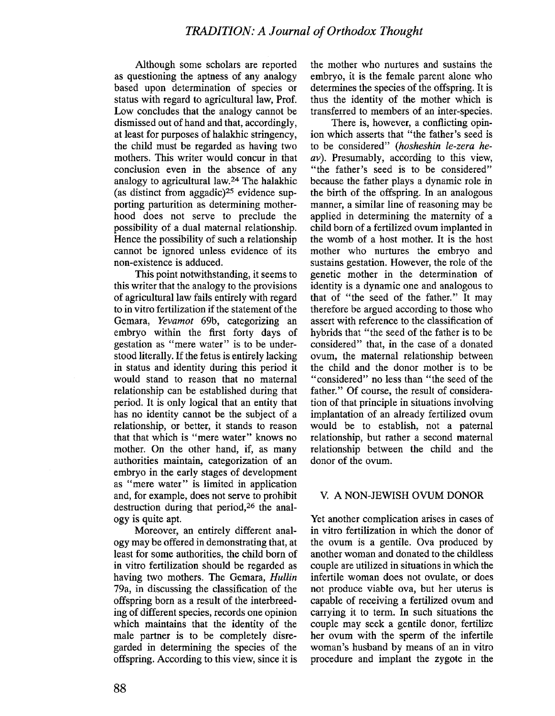Although some scholars are reported as questioning the aptness of any analogy based upon determination of species or status with regard to agricultural law, Prof. Low concludes that the analogy cannot be dismissed out of hand and that, accordingly, at least for purposes of halakhic stringency, the child must be regarded as having two mothers. This writer would concur in that conclusion even in the absence of any analogy to agricultural law.<sup>24</sup> The halakhic (as distinct from aggadic) $25$  evidence supporting parturition as determining motherhood does not serve to preclude the possibility of a dual maternal relationship. Hence the possibility of such a relationship cannot be ignored unless evidence of its non-existence is adduced.

This point notwithstanding, it seems to this writer that the analogy to the provisions of agricultural law fails entirely with regard to in vitro fertilzation if the statement of the Gemara, Yevamot 69b, categorizing an embryo within the first forty days of gestation as "mere water" is to be understood literally. If the fetus is entirely lacking in status and identity during this period it would stand to reason that no maternal relationship can be established during that period. It is only logical that an entity that has no identity cannot be the subject of a relationship, or better, it stands to reason that that which is "mere water" knows no mother. On the other hand, if, as many authorities maintain, categorization of an embryo in the early stages of development as "mere water" is limited in application and, for example, does not serve to prohibit destruction during that period,26 the analogy is quite apt.

Moreover, an entirely different analogy may be offered in demonstrating that, at least for some authorities, the child born of in vitro fertilization should be regarded as having two mothers. The Gemara, Hullin 79a, in discussing the classification of the offspring born as a result of the interbreeding of different species, records one opinion which maintains that the identity of the male partner is to be completely disregarded in determining the species of the offspring. According to this view, since it is

the mother who nurtures and sustains the embryo, it is the female parent alone who determines the species of the offspring. It is thus the identity of the mother which is transferred to members of an inter-species.

There is, however, a conflicting opinion which asserts that "the father's seed is to be considered" (hosheshin le-zera heav). Presumably, according to this view, "the father's seed is to be considered" because the father plays a dynamic role in the birth of the offspring. In an analogous manner, a similar line of reasoning may be applied in determining the maternity of a child born of a fertilized ovum implanted in the womb of a host mother. It is the host mother who nurtures the embryo and sustains gestation. However, the role of the genetic mother in the determination of identity is a dynamic one and analogous to that of "the seed of the father." It may therefore be argued according to those who assert with reference to the classification of hybrids that "the seed of the father is to be considered" that, in the case of a donated ovum, the maternal relationship between the child and the donor mother is to be "considered" no less than "the seed of the father." Of course, the result of consideration of that principle in situations involving implantation of an already fertilized ovum would be to establish, not a paternal relationship, but rather a second maternal relationship between the child and the donor of the ovum.

#### V. A NON-JEWISH OVUM DONOR

Yet another complication arises in cases of in vitro fertilzation in which the donor of the ovum is a gentile. Ova produced by another woman and donated to the childless couple are utilzed in situations in which the infertile woman does not ovulate, or does not produce viable ova, but her uterus is capable of receiving a fertilzed ovum and carrying it to term. In such situations the couple may seek a gentile donor, fertilze her ovum with the sperm of the infertile woman's husband by means of an in vitro procedure and implant the zygote in the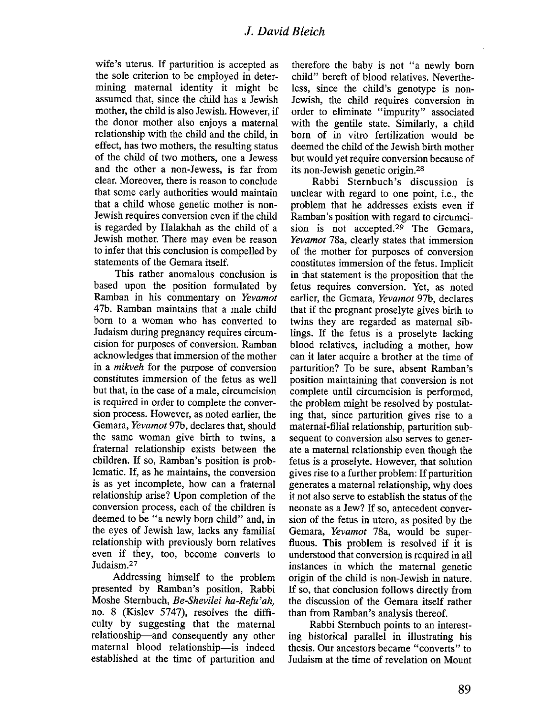wife's uterus. If parturition is accepted as the sole criterion to be employed in determining maternal identity it might be assumed that, since the child has a Jewish mother, the child is also Jewish. However, if the donor mother also enjoys a maternal relationship with the child and the child, in effect, has two mothers, the resulting status of the child of two mothers, one a Jewess and the other a non-Jewess, is far from clear. Moreover, there is reason to conclude that some early authorities would maintain that a child whose genetic mother is non-Jewish requires conversion even if the child is regarded by Halakhah as the child of a Jewish mother. There may even be reason to infer that this conclusion is compelled by statements of the Gemara itself.

This rather anomalous conclusion is based upon the position formulated by Ramban in his commentary on Yevamot 4 Th. Ramban maintains that a male child born to a woman who has converted to Judaism during pregnancy requires circumcision for purposes of conversion. Ramban acknowledges that immersion of the mother in a mikveh for the purpose of conversion constitutes immersion of the fetus as well but that, in the case of a male, circumcision is required in order to complete the conversion process. However, as noted earlier, the Gemara, Yevamot 9Th, declares that, should the same woman give birth to twins, a fraternal relationship exists between the children. If so, Ramban's position is problematic. If, as he maintains, the conversion is as yet incomplete, how can a fraternal relationship arise? Upon completion of the conversion process, each of the children is deemed to be "a newly born child" and, in the eyes of Jewish law, lacks any familial relationship with previously born relatives even if they, too, become converts to Judaism.27

Addressing himself to the problem presented by Ramban's position, Rabbi Moshe Sternbuch, Be-Shevilei ha-Refu'ah, no. 8 (Kislev 5747), resolves the diffculty by suggesting that the maternal relationship—and consequently any other maternal blood relationship-is indeed established at the time of parturition and

therefore the baby is not "a newly born child" bereft of blood relatives. Nevertheless, since the child's genotype is non-Jewish, the child requires conversion in order to eliminate "impurity" associated with the gentile state. Similarly, a child born of in vitro fertilization would be deemed the child of the Jewish birth mother but would yet require conversion because of its non-Jewish genetic origin.28

Rabbi Sternbuch's discussion is unclear with regard to one point, i.e., the problem that he addresses exists even if Ramban's position with regard to circumcision is not accepted.29 The Gemara, Yevamot 78a, clearly states that immersion of the mother for purposes of conversion constitutes immersion of the fetus. Implicit in that statement is the proposition that the fetus requires conversion. Yet, as noted earlier, the Gemara, Yevamot 97b, declares that if the pregnant proselyte gives birth to twins they are regarded as maternal siblings. If the fetus is a proselyte lacking blood relatives, including a mother, how can it later acquire a brother at the time of parturition? To be sure, absent Ramban's position maintaining that conversion is not complete until circumcision is performed, the problem might be resolved by postulating that, since parturition gives rise to a maternal-filial relationship, parturition subsequent to conversion also serves to generate a maternal relationship even though the fetus is a proselyte. However, that solution gives rise to a further problem: If parturition generates a maternal relationship, why does it not also serve to establish the status of the neonate as a Jew? If so, antecedent conversion of the fetus in utero, as posited by the Gemara, Yevamot 78a, would be superfluous. This problem is resolved if it is understood that conversion is required in all instances in which the maternal genetic origin of the child is non-Jewish in nature. If so, that conclusion follows directly from the discussion of the Gemara itself rather than from Ramban's analysis thereof.

Rabbi Sternbuch points to an interesting historical parallel in ilustrating his thesis. Our ancestors became "converts" to Judaism at the time of revelation on Mount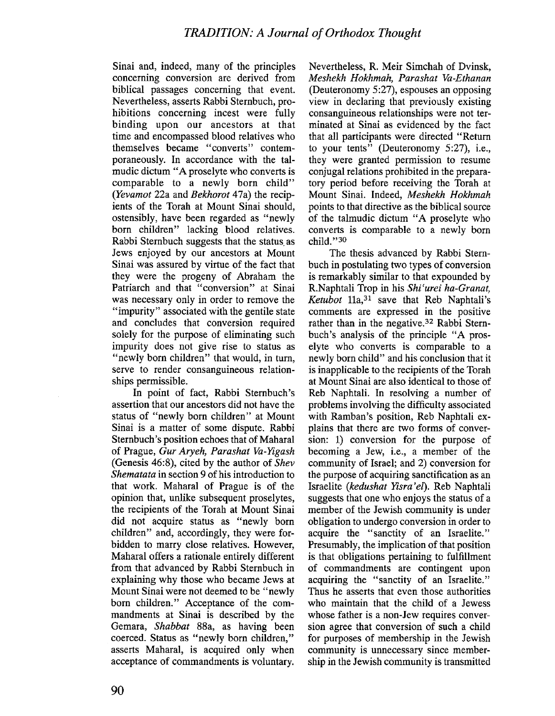Sinai and, indeed, many of the principles concerning conversion are derived from biblical passages concerning that event. Nevertheless, asserts Rabbi Sternbuch, prohibitions concerning incest were fully binding upon our ancestors at that time and encompassed blood relatives who themselves became "converts" contemporaneously. In accordance with the talmudic dictum" A proselyte who converts is comparable to a newly born child" (Yevamot 22a and Bekhorot 47a) the recipients of the Torah at Mount Sinai should, ostensibly, have been regarded as "newly born children" lacking blood relatives. Rabbi Sternbuch suggests that the status. as Jews enjoyed by our ancestors at Mount Sinai was assured by virtue of the fact that they were the progeny of Abraham the Patriarch and that "conversion" at Sinai was necessary only in order to remove the "impurity" associated with the gentile state and concludes that conversion required solely for the purpose of eliminating such impurity does not give rise to status as "newly born children" that would, in turn, serve to render consanguineous relationships permissible.

In point of fact, Rabbi Sternbuch's assertion that our ancestors did not have the status of "newly born children" at Mount Sinai is a matter of some dispute. Rabbi Sternbuch's position echoes that of Maharal of Prague, Gur Aryeh, Parashat Va-Yigash (Genesis 46:8), cited by the author of Shev Shematata in section 9 of his introduction to that work. Maharal of Prague is of the opinion that, unlike subsequent proselytes, the recipients of the Torah at Mount Sinai did not acquire status as "newly born children" and, accordingly, they were forbidden to marry close relatives. However, Maharal offers a rationale entirely different from that advanced by Rabbi Sternbuch in explaining why those who became Jews at Mount Sinai were not deemed to be "newly born children." Acceptance of the commandments at Sinai is described by the Gemara, Shabbat 88a, as having been coerced. Status as "newly born children," asserts Maharal, is acquired only when acceptance of commandments is voluntary.

Nevertheless, R. Meir Simchah of Dvinsk, Meshekh Hokhmah, Parashat Va-Ethanan (Deuteronomy 5:27), espouses an opposing view in declaring that previously existing consanguineous relationships were not terminated at Sinai as evidenced by the fact that all participants were directed "Return to your tents" (Deuteronomy 5:27), i.e., they were granted permission to resume conjugal relations prohibited in the preparatory period before receiving the Torah at Mount Sinai. Indeed, Meshekh Hokhmah points to that directive as the biblical source of the talmudic dictum "A proselyte who converts is comparable to a newly born child."<sup>30</sup>

The thesis advanced by Rabbi Sternbuch in postulating two types of conversion is remarkably similar to that expounded by R.Naphtali Trop in his Shi'urei ha-Granat, Ketubot 11a,<sup>31</sup> save that Reb Naphtali's comments are expressed in the positive rather than in the negative.32 Rabbi Sternbuch's analysis of the principle "A proselyte who converts is comparable to a newly born child" and his conclusion that it is inapplicable to the recipients of the Torah at Mount Sinai are also identical to those of Reb Naphtali. In resolving a number of problems involving the diffculty associated with Ramban's position, Reb Naphtali explains that there are two forms of conversion: 1) conversion for the purpose of becoming a Jew, i.e., a member of the community of Israel; and 2) conversion for the purpose of acquiring sanctification as an Israelite (kedushat Yisra'el). Reb Naphtali suggests that one who enjoys the status of a member of the Jewish community is under obligation to undergo conversion in order to acquire the "sanctity of an Israelite." Presumably, the implication of that position is that obligations pertaining to fulfillment of commandments are contingent upon acquiring the "sanctity of an Israelite." Thus he asserts that even those authorities who maintain that the child of a Jewess whose father is a non-Jew requires conversion agree that conversion of such a child for purposes of membership in the Jewish community is unnecessary since membership in the Jewish community is transmitted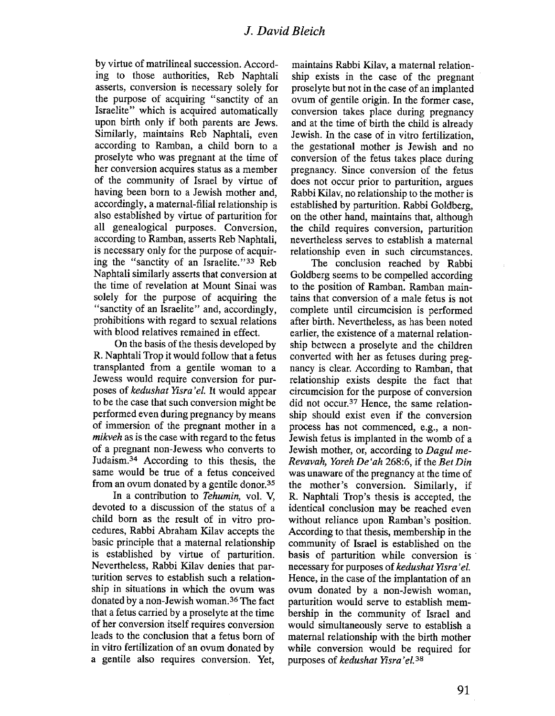by virtue of matrilneal succession. According to those authorities, Reb Naphtali asserts, conversion is necessary solely for the purpose of acquiring "sanctity of an Israelite" which is acquired automatically upon birth only if both parents are Jews. Similarly, maintains Reb Naphtali, even according to Ramban, a child born to a proselyte who was pregnant at the time of her conversion acquires status as a member of the community of Israel by virtue of having been born to a Jewish mother and, accordingly, a maternal-filial relationship is also established by virtue of parturition for all genealogical purposes. Conversion, according to Ramban, asserts Reb Naphtali, is necessary only for the purpose of acquiring the "sanctity of an Israelite." 33 Reb Naphtali similarly asserts that conversion at the time of revelation at Mount Sinai was solely for the purpose of acquiring the "sanctity of an Israelite" and, accordingly, prohibitions with regard to sexual relations with blood relatives remained in effect.

On the basis of the thesis developed by R. Naphtali Trop it would follow that a fetus transplanted from a gentile woman to a Jewess would require conversion for purposes of kedushat Yisra'el. It would appear to be the case that such conversion might be performed even during pregnancy by means of immersion of the pregnant mother in a mikveh as is the case with regard to the fetus of a pregnant non-Jewess who converts to Judaism.34 According to this thesis, the same would be true of a fetus conceived from an ovum donated by a gentile donor.<sup>35</sup>

In a contribution to Tehumin, vol. V, devoted to a discussion of the status of a child born as the result of in vitro procedures, Rabbi Abraham Kilav accepts the basic principle that a maternal relationship is established by virtue of parturition. Nevertheless, Rabbi Kilav denies that parturition serves to establish such a relationship in situations in which the ovum was donated by a non-Jewish woman.36 The fact that a fetus carried by a proselyte at the time of her conversion itself requires conversion leads to the conclusion that a fetus born of in vitro fertilzation of an ovum donated by a gentile also requires conversion. Yet,

maintains Rabbi Kilav, a maternal relationship exists in the case of the pregnant proselyte but not in the case of an implanted ovum of gentile origin. In the former case, conversion takes place during pregnancy and at the time of birth the child is already Jewish. In the case of in vitro fertilization, the gestational mother is Jewish and no conversion of the fetus takes place during pregnancy. Since conversion of the fetus does not occur prior to parturition, argues Rabbi Kilav, no relationship to the mother is established by parturition. Rabbi Goldberg, on the other hand, maintains that, although the child requires conversion, parturition nevertheless serves to establish a maternal relationship even in such circumstances.

The conclusion reached by Rabbi Goldberg seems to be compelled according to the position of Ramban. Ramban maintains that conversion of a male fetus is not complete until circumcision is performed after birth. Nevertheless, as has been noted earlier, the existence of a maternal relationship between a proselyte and the children converted with her as fetuses during pregnancy is clear. According to Ramban, that relationship exists despite the fact that circumcision for the purpose of conversion did not occur.37 Hence, the same relationship should exist even if the conversion process has not commenced, e.g., a non-Jewish fetus is implanted in the womb of a Jewish mother, or, according to Dagul me-Revavah, Yoreh De'ah 268:6, if the Bet Din was unaware of the pregnancy at the time of the mother's conversion. Similarly, if R. Naphtali Trop's thesis is accepted, the identical conclusion may be reached even without reliance upon Ramban's position. According to that thesis, membership in the community of Israel is established on the basis of parturition while conversion is. necessary for purposes of kedushat Yisra'el. Hence, in the case of the implantation of an ovum donated by a non-Jewish woman, parturition would serve to establish membership in the community of Israel and would simultaneously serve to establish a maternal relationship with the birth mother while conversion would be required for purposes of kedushat Yisra'el.<sup>38</sup>